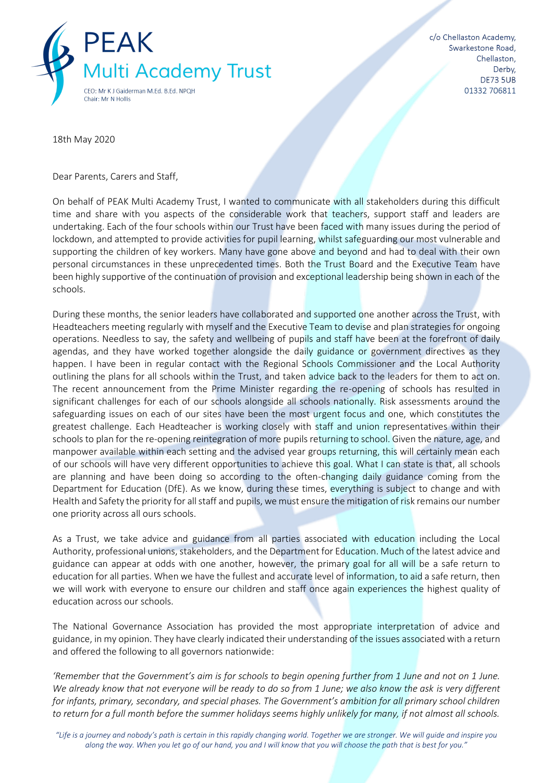

18th May 2020

Dear Parents, Carers and Staff,

On behalf of PEAK Multi Academy Trust, I wanted to communicate with all stakeholders during this difficult time and share with you aspects of the considerable work that teachers, support staff and leaders are undertaking. Each of the four schools within our Trust have been faced with many issues during the period of lockdown, and attempted to provide activities for pupil learning, whilst safeguarding our most vulnerable and supporting the children of key workers. Many have gone above and beyond and had to deal with their own personal circumstances in these unprecedented times. Both the Trust Board and the Executive Team have been highly supportive of the continuation of provision and exceptional leadership being shown in each of the schools.

During these months, the senior leaders have collaborated and supported one another across the Trust, with Headteachers meeting regularly with myself and the Executive Team to devise and plan strategies for ongoing operations. Needless to say, the safety and wellbeing of pupils and staff have been at the forefront of daily agendas, and they have worked together alongside the daily guidance or government directives as they happen. I have been in regular contact with the Regional Schools Commissioner and the Local Authority outlining the plans for all schools within the Trust, and taken advice back to the leaders for them to act on. The recent announcement from the Prime Minister regarding the re-opening of schools has resulted in significant challenges for each of our schools alongside all schools nationally. Risk assessments around the safeguarding issues on each of our sites have been the most urgent focus and one, which constitutes the greatest challenge. Each Headteacher is working closely with staff and union representatives within their schools to plan for the re-opening reintegration of more pupils returning to school. Given the nature, age, and manpower available within each setting and the advised year groups returning, this will certainly mean each of our schools will have very different opportunities to achieve this goal. What I can state is that, all schools are planning and have been doing so according to the often-changing daily guidance coming from the Department for Education (DfE). As we know, during these times, everything is subject to change and with Health and Safety the priority for all staff and pupils, we must ensure the mitigation of risk remains our number one priority across all ours schools.

As a Trust, we take advice and guidance from all parties associated with education including the Local Authority, professional unions, stakeholders, and the Department for Education. Much of the latest advice and guidance can appear at odds with one another, however, the primary goal for all will be a safe return to education for all parties. When we have the fullest and accurate level of information, to aid a safe return, then we will work with everyone to ensure our children and staff once again experiences the highest quality of education across our schools.

The National Governance Association has provided the most appropriate interpretation of advice and guidance, in my opinion. They have clearly indicated their understanding of the issues associated with a return and offered the following to all governors nationwide:

*'Remember that the Government's aim is for schools to begin opening further from 1 June and not on 1 June. We already know that not everyone will be ready to do so from 1 June; we also know the ask is very different for infants, primary, secondary, and special phases. The Government's ambition for all primary school children to return for a full month before the summer holidays seems highly unlikely for many, if not almost all schools.* 

"Life is a journey and nobody's path is certain in this rapidly changing world. Together we are stronger. We will guide and inspire you *along the way. When you let go of our hand, you and I will know that you will choose the path that is best for you."*